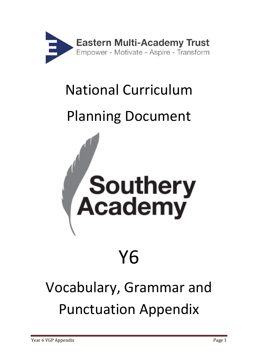

## National Curriculum

## Planning Document



## Vocabulary, Grammar and Punctuation Appendix